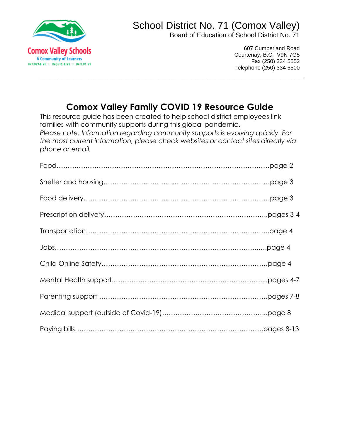

## School District No. 71 (Comox Valley)

Board of Education of School District No. 71

607 Cumberland Road Courtenay, B.C. V9N 7G5 Fax (250) 334 5552 Telephone (250) 334 5500

## **Comox Valley Family COVID 19 Resource Guide**

\_\_\_\_\_\_\_\_\_\_\_\_\_\_\_\_\_\_\_\_\_\_\_\_\_\_\_\_\_\_\_\_\_\_\_\_\_\_\_\_\_\_\_\_\_\_\_\_\_\_\_\_\_\_\_\_\_\_\_\_\_\_\_\_\_\_\_\_\_\_\_

This resource guide has been created to help school district employees link families with community supports during this global pandemic. *Please note: Information regarding community supports is evolving quickly. For the most current information, please check websites or contact sites directly via phone or email.*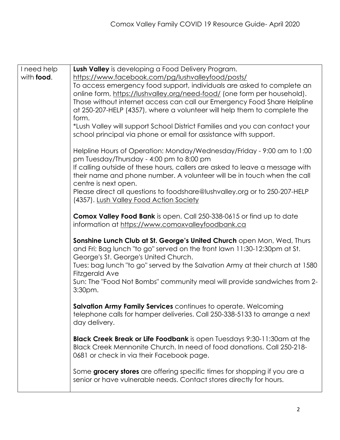| I need help | Lush Valley is developing a Food Delivery Program.                             |
|-------------|--------------------------------------------------------------------------------|
| with food.  | https://www.facebook.com/pg/lushvalleyfood/posts/                              |
|             | To access emergency food support, individuals are asked to complete an         |
|             | online form, https://lushvalley.org/need-food/ (one form per household).       |
|             | Those without internet access can call our Emergency Food Share Helpline       |
|             | at 250-207-HELP (4357), where a volunteer will help them to complete the       |
|             | form.                                                                          |
|             | *Lush Valley will support School District Families and you can contact your    |
|             | school principal via phone or email for assistance with support.               |
|             |                                                                                |
|             | Helpline Hours of Operation: Monday/Wednesday/Friday - 9:00 am to 1:00         |
|             | pm Tuesday/Thursday - 4:00 pm to 8:00 pm                                       |
|             | If calling outside of these hours, callers are asked to leave a message with   |
|             | their name and phone number. A volunteer will be in touch when the call        |
|             | centre is next open.                                                           |
|             | Please direct all questions to foodshare@lushvalley.org or to 250-207-HELP     |
|             | (4357). Lush Valley Food Action Society                                        |
|             |                                                                                |
|             | <b>Comox Valley Food Bank</b> is open. Call 250-338-0615 or find up to date    |
|             | information at https://www.comoxvalleyfoodbank.ca                              |
|             |                                                                                |
|             | Sonshine Lunch Club at St. George's United Church open Mon, Wed, Thurs         |
|             | and Fri: Bag lunch "to go" served on the front lawn 11:30-12:30pm at St.       |
|             | George's St. George's United Church.                                           |
|             | Tues: bag lunch "to go" served by the Salvation Army at their church at 1580   |
|             | <b>Fitzgerald Ave</b>                                                          |
|             |                                                                                |
|             | Sun: The "Food Not Bombs" community meal will provide sandwiches from 2-       |
|             | 3:30pm.                                                                        |
|             | <b>Salvation Army Family Services</b> continues to operate. Welcoming          |
|             | telephone calls for hamper deliveries. Call 250-338-5133 to arrange a next     |
|             | day delivery.                                                                  |
|             |                                                                                |
|             | <b>Black Creek Break or Life Foodbank</b> is open Tuesdays 9:30-11:30am at the |
|             | Black Creek Mennonite Church. In need of food donations. Call 250-218-         |
|             | 0681 or check in via their Facebook page.                                      |
|             |                                                                                |
|             | Some grocery stores are offering specific times for shopping if you are a      |
|             | senior or have vulnerable needs. Contact stores directly for hours.            |
|             |                                                                                |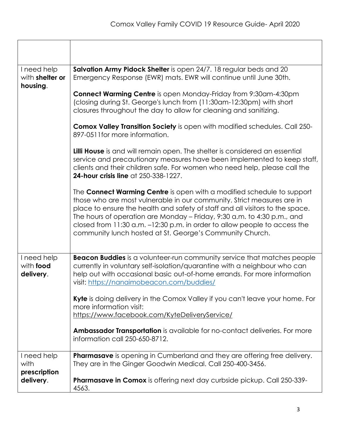| I need help<br>with shelter or<br>housing. | Salvation Army Pidock Shelter is open 24/7. 18 regular beds and 20<br>Emergency Response (EWR) mats. EWR will continue until June 30th.                                                                                                                                                                                                                                                                                                               |
|--------------------------------------------|-------------------------------------------------------------------------------------------------------------------------------------------------------------------------------------------------------------------------------------------------------------------------------------------------------------------------------------------------------------------------------------------------------------------------------------------------------|
|                                            | <b>Connect Warming Centre</b> is open Monday-Friday from 9:30am-4:30pm<br>(closing during St. George's lunch from (11:30am-12:30pm) with short<br>closures throughout the day to allow for cleaning and sanitizing.                                                                                                                                                                                                                                   |
|                                            | <b>Comox Valley Transition Society</b> is open with modified schedules. Call 250-<br>897-0511 for more information.                                                                                                                                                                                                                                                                                                                                   |
|                                            | <b>Lilli House</b> is and will remain open. The shelter is considered an essential<br>service and precautionary measures have been implemented to keep staff,<br>clients and their children safe. For women who need help, please call the<br>24-hour crisis line at 250-338-1227.                                                                                                                                                                    |
|                                            | The Connect Warming Centre is open with a modified schedule to support<br>those who are most vulnerable in our community. Strict measures are in<br>place to ensure the health and safety of staff and all visitors to the space.<br>The hours of operation are Monday - Friday, 9:30 a.m. to 4:30 p.m., and<br>closed from 11:30 a.m. -12:30 p.m. in order to allow people to access the<br>community lunch hosted at St. George's Community Church. |
| I need help<br>with food<br>delivery.      | <b>Beacon Buddies</b> is a volunteer-run community service that matches people<br>currently in voluntary self-isolation/quarantine with a neighbour who can<br>help out with occasional basic out-of-home errands. For more information<br>visit: https://nanaimobeacon.com/buddies/                                                                                                                                                                  |
|                                            | Kyte is doing delivery in the Comox Valley if you can't leave your home. For<br>more information visit:<br>https://www.facebook.com/KyteDeliveryService/                                                                                                                                                                                                                                                                                              |
|                                            | Ambassador Transportation is available for no-contact deliveries. For more<br>information call 250-650-8712.                                                                                                                                                                                                                                                                                                                                          |
| I need help<br>with                        | <b>Pharmasave</b> is opening in Cumberland and they are offering free delivery.<br>They are in the Ginger Goodwin Medical. Call 250-400-3456.                                                                                                                                                                                                                                                                                                         |
| prescription<br>delivery.                  | <b>Pharmasave in Comox</b> is offering next day curbside pickup. Call 250-339-<br>4563.                                                                                                                                                                                                                                                                                                                                                               |

Г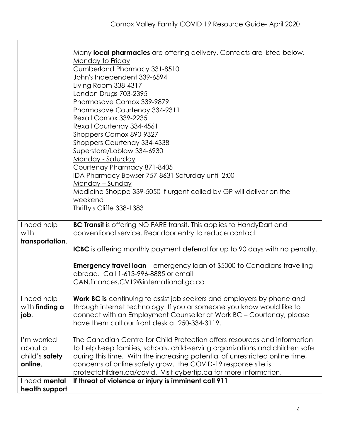|                               | Many <b>local pharmacies</b> are offering delivery. Contacts are listed below.                                                                         |
|-------------------------------|--------------------------------------------------------------------------------------------------------------------------------------------------------|
|                               | <b>Monday to Friday</b>                                                                                                                                |
|                               | Cumberland Pharmacy 331-8510                                                                                                                           |
|                               | John's Independent 339-6594                                                                                                                            |
|                               | Living Room 338-4317                                                                                                                                   |
|                               | London Drugs 703-2395                                                                                                                                  |
|                               | Pharmasave Comox 339-9879                                                                                                                              |
|                               | Pharmasave Courtenay 334-9311<br>Rexall Comox 339-2235                                                                                                 |
|                               | Rexall Courtenay 334-4561                                                                                                                              |
|                               | Shoppers Comox 890-9327                                                                                                                                |
|                               | Shoppers Courtenay 334-4338                                                                                                                            |
|                               | Superstore/Loblaw 334-6930                                                                                                                             |
|                               | Monday - Saturday                                                                                                                                      |
|                               | Courtenay Pharmacy 871-8405                                                                                                                            |
|                               | IDA Pharmacy Bowser 757-8631 Saturday until 2:00                                                                                                       |
|                               | Monday - Sunday                                                                                                                                        |
|                               | Medicine Shoppe 339-5050 If urgent called by GP will deliver on the                                                                                    |
|                               | weekend                                                                                                                                                |
|                               | Thrifty's Cliffe 338-1383                                                                                                                              |
|                               |                                                                                                                                                        |
| I need help                   | BC Transit is offering NO FARE transit. This applies to HandyDart and                                                                                  |
| with                          | conventional service. Rear door entry to reduce contact.                                                                                               |
| transportation.               |                                                                                                                                                        |
|                               | <b>ICBC</b> is offering monthly payment deferral for up to 90 days with no penalty.                                                                    |
|                               |                                                                                                                                                        |
|                               | <b>Emergency travel loan</b> – emergency loan of \$5000 to Canadians travelling                                                                        |
|                               | abroad. Call 1-613-996-8885 or email                                                                                                                   |
|                               | CAN.finances.CV19@international.gc.ca                                                                                                                  |
|                               |                                                                                                                                                        |
| I need help<br>with finding a | <b>Work BC is</b> continuing to assist job seekers and employers by phone and<br>through internet technology. If you or someone you know would like to |
| job.                          | connect with an Employment Counsellor at Work BC - Courtenay, please                                                                                   |
|                               | have them call our front desk at 250-334-3119.                                                                                                         |
|                               |                                                                                                                                                        |
| I'm worried                   | The Canadian Centre for Child Protection offers resources and information                                                                              |
| about a                       | to help keep families, schools, child-serving organizations and children safe                                                                          |
| child's safety                | during this time. With the increasing potential of unrestricted online time,                                                                           |
| online.                       | concerns of online safety grow. the COVID-19 response site is                                                                                          |
|                               | protectchildren.ca/covid. Visit cybertip.ca for more information.                                                                                      |
| I need <b>mental</b>          | If threat of violence or injury is imminent call 911                                                                                                   |
| health support                |                                                                                                                                                        |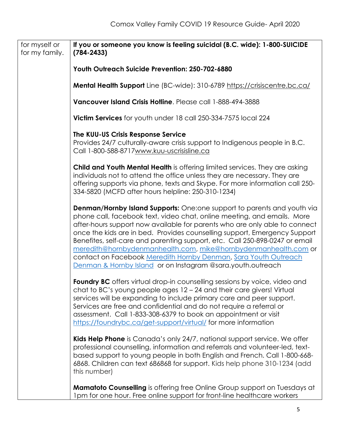| for myself or<br>for my family. | If you or someone you know is feeling suicidal (B.C. wide): 1-800-SUICIDE<br>$(784 - 2433)$                                                                                                                                                                                                                                                                                                                                                                                                                                                                                                              |
|---------------------------------|----------------------------------------------------------------------------------------------------------------------------------------------------------------------------------------------------------------------------------------------------------------------------------------------------------------------------------------------------------------------------------------------------------------------------------------------------------------------------------------------------------------------------------------------------------------------------------------------------------|
|                                 | Youth Outreach Suicide Prevention: 250-702-6880                                                                                                                                                                                                                                                                                                                                                                                                                                                                                                                                                          |
|                                 | <b>Mental Health Support</b> Line (BC-wide): 310-6789 https://crisiscentre.bc.ca/                                                                                                                                                                                                                                                                                                                                                                                                                                                                                                                        |
|                                 | Vancouver Island Crisis Hotline. Please call 1-888-494-3888                                                                                                                                                                                                                                                                                                                                                                                                                                                                                                                                              |
|                                 | Victim Services for youth under 18 call 250-334-7575 local 224                                                                                                                                                                                                                                                                                                                                                                                                                                                                                                                                           |
|                                 | The KUU-US Crisis Response Service<br>Provides 24/7 culturally-aware crisis support to Indigenous people in B.C.<br>Call 1-800-588-8717www.kuu-uscrisisline.ca                                                                                                                                                                                                                                                                                                                                                                                                                                           |
|                                 | Child and Youth Mental Health is offering limited services. They are asking<br>individuals not to attend the office unless they are necessary. They are<br>offering supports via phone, texts and Skype. For more information call 250-<br>334-5820 (MCFD after hours helpline: 250-310-1234)                                                                                                                                                                                                                                                                                                            |
|                                 | <b>Denman/Hornby Island Supports:</b> One:one support to parents and youth via<br>phone call, facebook text, video chat, online meeting, and emails. More<br>after-hours support now available for parents who are only able to connect<br>once the kids are in bed. Provides counselling support, Emergency Support<br>Benefites, self-care and parenting support, etc. Call 250-898-0247 or email<br>meredith@hornbydenmanhealth.com, mike@hornbydenmanhealth.com or<br>contact on Facebook Meredith Hornby Denman, Sara Youth Outreach<br>Denman & Hornby Island or on Instagram @sara.youth.outreach |
|                                 | Foundry BC offers virtual drop-in counselling sessions by voice, video and<br>chat to BC's young people ages 12 - 24 and their care givers! Virtual<br>services will be expanding to include primary care and peer support.<br>Services are free and confidential and do not require a referral or<br>assessment. Call 1-833-308-6379 to book an appointment or visit<br>https://foundrybc.ca/get-support/virtual/ for more information                                                                                                                                                                  |
|                                 | Kids Help Phone is Canada's only 24/7, national support service. We offer<br>professional counselling, information and referrals and volunteer-led, text-<br>based support to young people in both English and French. Call 1-800-668-<br>6868. Children can text 686868 for support. Kids help phone 310-1234 (add<br>this number)                                                                                                                                                                                                                                                                      |
|                                 | <b>Mamatoto Counselling</b> is offering free Online Group support on Tuesdays at<br>1pm for one hour. Free online support for front-line healthcare workers                                                                                                                                                                                                                                                                                                                                                                                                                                              |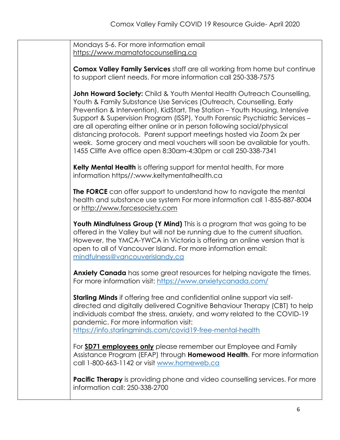| Mondays 5-6. For more information email |
|-----------------------------------------|
| https://www.mamatotocounselling.ca      |

**Comox Valley Family Services** staff are all working from home but continue to support client needs. For more information call 250-338-7575

**John Howard Society:** Child & Youth Mental Health Outreach Counselling, Youth & Family Substance Use Services (Outreach, Counselling, Early Prevention & Intervention), KidStart, The Station – Youth Housing, Intensive Support & Supervision Program (ISSP), Youth Forensic Psychiatric Services – are all operating either online or in person following social/physical distancing protocols. Parent support meetings hosted via Zoom 2x per week. Some grocery and meal vouchers will soon be available for youth. 1455 Cliffe Ave office open 8:30am-4:30pm or call 250-338-7341

**Kelty Mental Health** is offering support for mental health. For more information https//:www.keltymentalhealth.ca

**The FORCE** can offer support to understand how to navigate the mental health and substance use system For more information call 1-855-887-8004 or [http://www.forcesociety.com](http://www.forcesociety.com/)

**Youth Mindfulness Group (Y Mind)** This is a program that was going to be offered in the Valley but will not be running due to the current situation. However, the YMCA-YWCA in Victoria is offering an online version that is open to all of Vancouver Island. For more information email: [mindfulness@vancouverislandy.ca](mailto:mindfulness@vancouverislandy.ca)

**Anxiety Canada** has some great resources for helping navigate the times. For more information visit:<https://www.anxietycanada.com/>

**Starling Minds** if offering free and confidential online support via selfdirected and digitally delivered Cognitive Behaviour Therapy (CBT) to help individuals combat the stress, anxiety, and worry related to the COVID-19 pandemic. For more information visit: <https://info.starlingminds.com/covid19-free-mental-health>

For **SD71 employees only** please remember our Employee and Family Assistance Program (EFAP) through **Homewood Health**. For more information call 1-800-663-1142 or visit [www.homeweb.ca](http://www.homeweb.ca/)

**Pacific Therapy** is providing phone and video counselling services. For more information call: 250-338-2700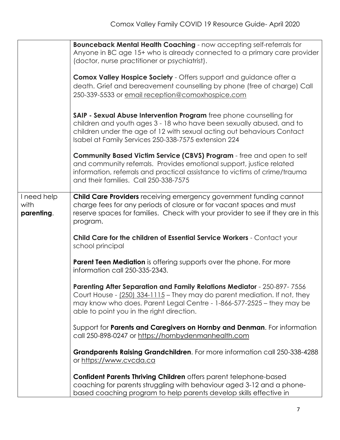|                                   | Bounceback Mental Health Coaching - now accepting self-referrals for<br>Anyone in BC age 15+ who is already connected to a primary care provider<br>(doctor, nurse practitioner or psychiatrist).                                                                             |
|-----------------------------------|-------------------------------------------------------------------------------------------------------------------------------------------------------------------------------------------------------------------------------------------------------------------------------|
|                                   | <b>Comox Valley Hospice Society</b> - Offers support and guidance after a<br>death. Grief and bereavement counselling by phone (free of charge) Call<br>250-339-5533 or email reception@comoxhospice.com                                                                      |
|                                   | SAIP - Sexual Abuse Intervention Program free phone counselling for<br>children and youth ages 3 - 18 who have been sexually abused, and to<br>children under the age of 12 with sexual acting out behaviours Contact<br>Isabel at Family Services 250-338-7575 extension 224 |
|                                   | Community Based Victim Service (CBVS) Program - free and open to self<br>and community referrals. Provides emotional support, justice related<br>information, referrals and practical assistance to victims of crime/trauma<br>and their families. Call 250-338-7575          |
| I need help<br>with<br>parenting. | Child Care Providers receiving emergency government funding cannot<br>charge fees for any periods of closure or for vacant spaces and must<br>reserve spaces for families. Check with your provider to see if they are in this<br>program.                                    |
|                                   | Child Care for the children of Essential Service Workers - Contact your<br>school principal                                                                                                                                                                                   |
|                                   | <b>Parent Teen Mediation</b> is offering supports over the phone. For more<br>information call 250-335-2343.                                                                                                                                                                  |
|                                   | Parenting After Separation and Family Relations Mediator - 250-897-7556<br>Court House - (250) 334-1115 - They may do parent mediation. If not, they<br>may know who does. Parent Legal Centre - 1-866-577-2525 - they may be<br>able to point you in the right direction.    |
|                                   | Support for Parents and Caregivers on Hornby and Denman. For information<br>call 250-898-0247 or https://hornbydenmanhealth.com                                                                                                                                               |
|                                   | Grandparents Raising Grandchildren. For more information call 250-338-4288<br>or https://www.cvcda.ca                                                                                                                                                                         |
|                                   | <b>Confident Parents Thriving Children offers parent telephone-based</b><br>coaching for parents struggling with behaviour aged 3-12 and a phone-<br>based coaching program to help parents develop skills effective in                                                       |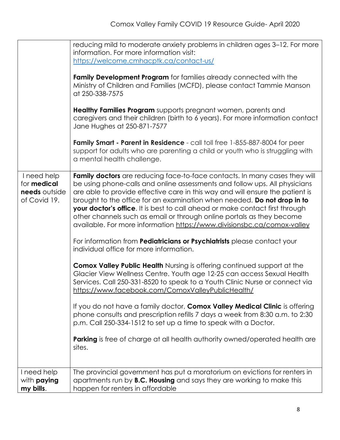|                                                                    | reducing mild to moderate anxiety problems in children ages 3-12. For more<br>information. For more information visit:<br>https://welcome.cmhacptk.ca/contact-us/<br><b>Family Development Program</b> for families already connected with the<br>Ministry of Children and Families (MCFD), please contact Tammie Manson<br>at 250-338-7575<br>Healthy Families Program supports pregnant women, parents and<br>caregivers and their children (birth to 6 years). For more information contact<br>Jane Hughes at 250-871-7577<br>Family Smart - Parent in Residence - call toll free 1-855-887-8004 for peer<br>support for adults who are parenting a child or youth who is struggling with                                                                                                                                                                                                                                                                                                                                                                                                                                                         |
|--------------------------------------------------------------------|------------------------------------------------------------------------------------------------------------------------------------------------------------------------------------------------------------------------------------------------------------------------------------------------------------------------------------------------------------------------------------------------------------------------------------------------------------------------------------------------------------------------------------------------------------------------------------------------------------------------------------------------------------------------------------------------------------------------------------------------------------------------------------------------------------------------------------------------------------------------------------------------------------------------------------------------------------------------------------------------------------------------------------------------------------------------------------------------------------------------------------------------------|
|                                                                    | a mental health challenge.                                                                                                                                                                                                                                                                                                                                                                                                                                                                                                                                                                                                                                                                                                                                                                                                                                                                                                                                                                                                                                                                                                                           |
| I need help<br>for <b>medical</b><br>needs outside<br>of Covid 19. | Family doctors are reducing face-to-face contacts. In many cases they will<br>be using phone-calls and online assessments and follow ups. All physicians<br>are able to provide effective care in this way and will ensure the patient is<br>brought to the office for an examination when needed. Do not drop in to<br>your doctor's office. It is best to call ahead or make contact first through<br>other channels such as email or through online portals as they become<br>available. For more information https://www.divisionsbc.ca/comox-valley<br>For information from Pediatricians or Psychiatrists please contact your<br>individual office for more information.<br><b>Comox Valley Public Health Nursing is offering continued support at the</b><br>Glacier View Wellness Centre. Youth age 12-25 can access Sexual Health<br>Services. Call 250-331-8520 to speak to a Youth Clinic Nurse or connect via<br>https://www.facebook.com/ComoxValleyPublicHealth/<br>If you do not have a family doctor, <b>Comox Valley Medical Clinic</b> is offering<br>phone consults and prescription refills 7 days a week from 8:30 a.m. to 2:30 |
|                                                                    | p.m. Call 250-334-1512 to set up a time to speak with a Doctor.                                                                                                                                                                                                                                                                                                                                                                                                                                                                                                                                                                                                                                                                                                                                                                                                                                                                                                                                                                                                                                                                                      |
|                                                                    | <b>Parking</b> is free of charge at all health authority owned/operated health are<br>sites.                                                                                                                                                                                                                                                                                                                                                                                                                                                                                                                                                                                                                                                                                                                                                                                                                                                                                                                                                                                                                                                         |
| I need help<br>with <b>paying</b><br>my bills.                     | The provincial government has put a moratorium on evictions for renters in<br>apartments run by <b>B.C. Housing</b> and says they are working to make this<br>happen for renters in affordable                                                                                                                                                                                                                                                                                                                                                                                                                                                                                                                                                                                                                                                                                                                                                                                                                                                                                                                                                       |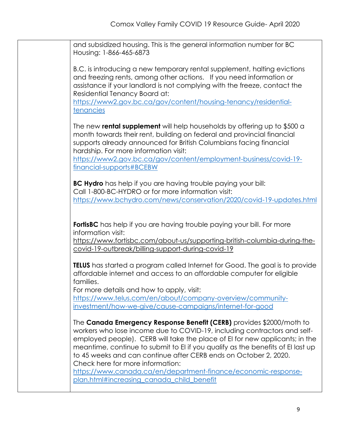| and subsidized housing. This is the general information number for BC<br>Housing: 1-866-465-6873                                                                                                                                                                                                                                                                                                                                                                                                                                          |
|-------------------------------------------------------------------------------------------------------------------------------------------------------------------------------------------------------------------------------------------------------------------------------------------------------------------------------------------------------------------------------------------------------------------------------------------------------------------------------------------------------------------------------------------|
| B.C. is introducing a new temporary rental supplement, halting evictions<br>and freezing rents, among other actions. If you need information or<br>assistance if your landlord is not complying with the freeze, contact the<br>Residential Tenancy Board at:<br>https://www2.gov.bc.ca/gov/content/housing-tenancy/residential-<br>tenancies                                                                                                                                                                                             |
| The new <b>rental supplement</b> will help households by offering up to \$500 a<br>month towards their rent, building on federal and provincial financial<br>supports already announced for British Columbians facing financial<br>hardship. For more information visit:<br>https://www2.gov.bc.ca/gov/content/employment-business/covid-19-<br>financial-supports#BCEBW                                                                                                                                                                  |
| <b>BC Hydro</b> has help if you are having trouble paying your bill:<br>Call 1-800-BC-HYDRO or for more information visit:<br>https://www.bchydro.com/news/conservation/2020/covid-19-updates.html                                                                                                                                                                                                                                                                                                                                        |
| <b>FortisBC</b> has help if you are having trouble paying your bill. For more<br>information visit:<br>https://www.fortisbc.com/about-us/supporting-british-columbia-during-the-<br>covid-19-outbreak/billing-support-during-covid-19                                                                                                                                                                                                                                                                                                     |
| <b>TELUS</b> has started a program called Internet for Good. The goal is to provide<br>affordable internet and access to an affordable computer for eligible<br>families.<br>For more details and how to apply, visit:<br>https://www.telus.com/en/about/company-overview/community-<br>investment/how-we-give/cause-campaigns/internet-for-good                                                                                                                                                                                          |
| The Canada Emergency Response Benefit (CERB) provides \$2000/moth to<br>workers who lose income due to COVID-19, including contractors and self-<br>employed people). CERB will take the place of EI for new applicants; in the<br>meantime, continue to submit to EI if you qualify as the benefits of EI last up<br>to 45 weeks and can continue after CERB ends on October 2, 2020.<br>Check here for more information:<br>https://www.canada.ca/en/department-finance/economic-response-<br>plan.html#increasing_canada_child_benefit |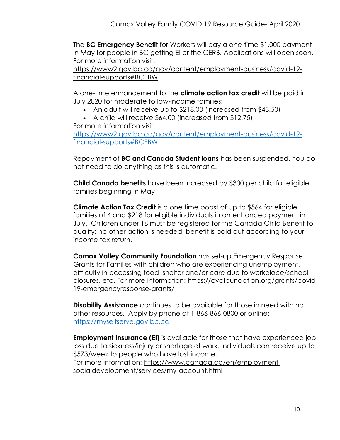The **BC Emergency Benefit** for Workers will pay a one-time \$1,000 payment in May for people in BC getting EI or the CERB. Applications will open soon. For more information visit:

[https://www2.gov.bc.ca/gov/content/employment-business/covid-19](https://www2.gov.bc.ca/gov/content/employment-business/covid-19-financial-supports#BCEBW) [financial-supports#BCEBW](https://www2.gov.bc.ca/gov/content/employment-business/covid-19-financial-supports#BCEBW)

A one-time enhancement to the **[climate action tax credit](https://www2.gov.bc.ca/gov/content/taxes/income-taxes/personal/credits/climate-action)** will be paid in July 2020 for moderate to low-income families:

- An adult will receive up to \$218.00 (increased from \$43.50)
- A child will receive \$64.00 (increased from \$12.75)

For more information visit: [https://www2.gov.bc.ca/gov/content/employment-business/covid-19](https://www2.gov.bc.ca/gov/content/employment-business/covid-19-financial-supports#BCEBW) [financial-supports#BCEBW](https://www2.gov.bc.ca/gov/content/employment-business/covid-19-financial-supports#BCEBW)

Repayment of **BC and Canada Student loans** has been suspended. You do not need to do anything as this is automatic.

**Child Canada benefits** have been increased by \$300 per child for eligible families beginning in May

**Climate Action Tax Credit** is a one time boost of up to \$564 for eligible families of 4 and \$218 for eligible individuals in an enhanced payment in July. Children under 18 must be registered for the Canada Child Benefit to qualify; no other action is needed, benefit is paid out according to your income tax return.

**Comox Valley Community Foundation** has set-up Emergency Response Grants for Families with children who are experiencing unemployment, difficulty in accessing food, shelter and/or care due to workplace/school closures, etc. For more information: [https://cvcfoundation.org/grants/covid-](https://cvcfoundation.org/grants/covid-19-emergencyresponse-grants/)[19-emergencyresponse-grants/](https://cvcfoundation.org/grants/covid-19-emergencyresponse-grants/)

**Disability Assistance** continues to be available for those in need with no other resources. Apply by phone at 1-866-866-0800 or online: [https://myselfserve.gov.bc.ca](https://myselfserve.gov.bc.ca/)

**Employment Insurance (EI)** is available for those that have experienced job loss due to sickness/injury or shortage of work. Individuals can receive up to \$573/week to people who have lost income. For more information: [https://www.canada.ca/en/employment](https://www.canada.ca/en/employment-socialdevelopment/services/my-account.html)[socialdevelopment/services/my-account.html](https://www.canada.ca/en/employment-socialdevelopment/services/my-account.html)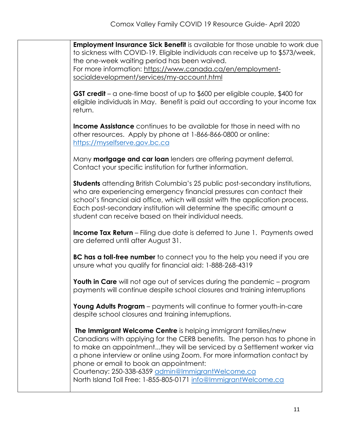| Employment Insurance Sick Benefit is available for those unable to work due<br>to sickness with COVID-19. Eligible individuals can receive up to \$573/week,<br>the one-week waiting period has been waived.                                                                                                                                                                                                                                                       |
|--------------------------------------------------------------------------------------------------------------------------------------------------------------------------------------------------------------------------------------------------------------------------------------------------------------------------------------------------------------------------------------------------------------------------------------------------------------------|
| For more information: https://www.canada.ca/en/employment-<br>socialdevelopment/services/my-account.html                                                                                                                                                                                                                                                                                                                                                           |
| GST credit – $\alpha$ one-time boost of up to \$600 per eligible couple, \$400 for<br>eligible individuals in May. Benefit is paid out according to your income tax<br>return.                                                                                                                                                                                                                                                                                     |
| <b>Income Assistance</b> continues to be available for those in need with no<br>other resources. Apply by phone at 1-866-866-0800 or online:<br>https://myselfserve.gov.bc.ca                                                                                                                                                                                                                                                                                      |
| Many mortgage and car loan lenders are offering payment deferral.<br>Contact your specific institution for further information.                                                                                                                                                                                                                                                                                                                                    |
| <b>Students</b> attending British Columbia's 25 public post-secondary institutions,<br>who are experiencing emergency financial pressures can contact their<br>school's financial aid office, which will assist with the application process.<br>Each post-secondary institution will determine the specific amount a<br>student can receive based on their individual needs.                                                                                      |
| <b>Income Tax Return</b> – Filing due date is deferred to June 1. Payments owed<br>are deferred until after August 31.                                                                                                                                                                                                                                                                                                                                             |
| <b>BC has a foll-free number</b> to connect you to the help you need if you are<br>unsure what you qualify for financial aid: 1-888-268-4319                                                                                                                                                                                                                                                                                                                       |
| <b>Youth in Care</b> will not age out of services during the pandemic – program<br>payments will continue despite school closures and training interruptions                                                                                                                                                                                                                                                                                                       |
| <b>Young Adults Program</b> – payments will continue to former youth-in-care<br>despite school closures and training interruptions.                                                                                                                                                                                                                                                                                                                                |
| The Immigrant Welcome Centre is helping immigrant families/new<br>Canadians with applying for the CERB benefits. The person has to phone in<br>to make an appointmentthey will be serviced by a Settlement worker via<br>a phone interview or online using Zoom. For more information contact by<br>phone or email to book an appointment:<br>Courtenay: 250-338-6359 admin@ImmigrantWelcome.ca<br>North Island Toll Free: 1-855-805-0171 info@ImmigrantWelcome.ca |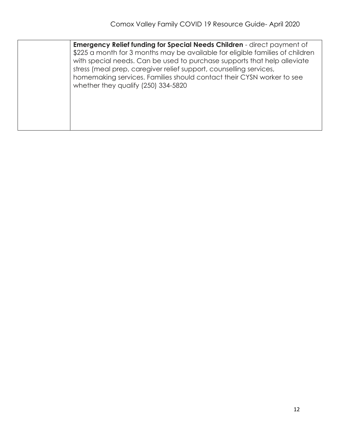|  | Emergency Relief funding for Special Needs Children - direct payment of<br>\$225 a month for 3 months may be available for eligible families of children<br>with special needs. Can be used to purchase supports that help alleviate<br>stress (meal prep, caregiver relief support, counselling services,<br>homemaking services. Families should contact their CYSN worker to see<br>whether they qualify (250) 334-5820 |
|--|----------------------------------------------------------------------------------------------------------------------------------------------------------------------------------------------------------------------------------------------------------------------------------------------------------------------------------------------------------------------------------------------------------------------------|
|--|----------------------------------------------------------------------------------------------------------------------------------------------------------------------------------------------------------------------------------------------------------------------------------------------------------------------------------------------------------------------------------------------------------------------------|